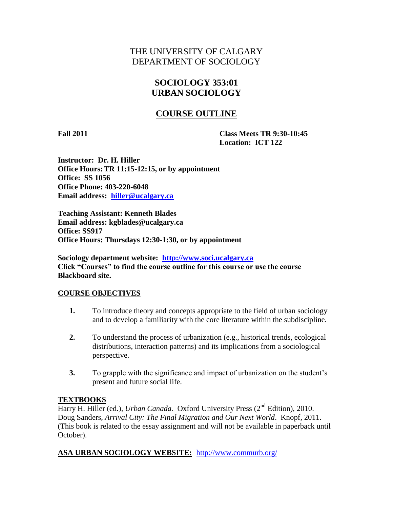# THE UNIVERSITY OF CALGARY DEPARTMENT OF SOCIOLOGY

## **SOCIOLOGY 353:01 URBAN SOCIOLOGY**

## **COURSE OUTLINE**

**Fall 2011 Class Meets TR 9:30-10:45 Location: ICT 122**

**Instructor: Dr. H. Hiller Office Hours:TR 11:15-12:15, or by appointment Office: SS 1056 Office Phone: 403-220-6048 Email address: [hiller@ucalgary.ca](mailto:hiller@ucalgary.ca)**

**Teaching Assistant: Kenneth Blades Email address: kgblades@ucalgary.ca Office: SS917 Office Hours: Thursdays 12:30-1:30, or by appointment**

**Sociology department website: [http://www.soci.ucalgary.ca](http://www.soci.ucalgary.ca/) Click "Courses" to find the course outline for this course or use the course Blackboard site.**

#### **COURSE OBJECTIVES**

- **1.** To introduce theory and concepts appropriate to the field of urban sociology and to develop a familiarity with the core literature within the subdiscipline.
- **2.** To understand the process of urbanization (e.g., historical trends, ecological distributions, interaction patterns) and its implications from a sociological perspective.
- **3.** To grapple with the significance and impact of urbanization on the student's present and future social life.

#### **TEXTBOOKS**

Harry H. Hiller (ed.), *Urban Canada.* Oxford University Press (2<sup>nd</sup> Edition), 2010. Doug Sanders, *Arrival City: The Final Migration and Our Next World*. Knopf, 2011. (This book is related to the essay assignment and will not be available in paperback until October).

**ASA URBAN SOCIOLOGY WEBSITE:** <http://www.commurb.org/>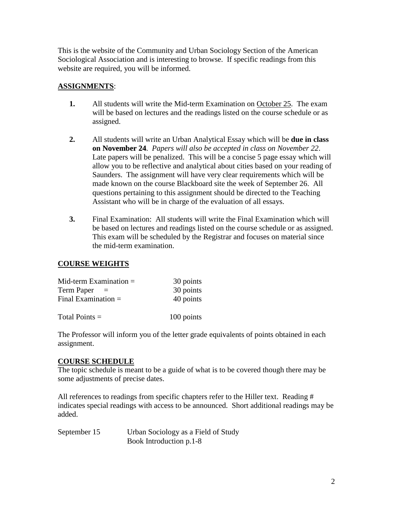This is the website of the Community and Urban Sociology Section of the American Sociological Association and is interesting to browse. If specific readings from this website are required, you will be informed.

## **ASSIGNMENTS**:

- **1.** All students will write the Mid-term Examination on October 25. The exam will be based on lectures and the readings listed on the course schedule or as assigned.
- **2.** All students will write an Urban Analytical Essay which will be **due in class on November 24**. *Papers will also be accepted in class on November 22*. Late papers will be penalized. This will be a concise 5 page essay which will allow you to be reflective and analytical about cities based on your reading of Saunders. The assignment will have very clear requirements which will be made known on the course Blackboard site the week of September 26. All questions pertaining to this assignment should be directed to the Teaching Assistant who will be in charge of the evaluation of all essays.
- **3.** Final Examination: All students will write the Final Examination which will be based on lectures and readings listed on the course schedule or as assigned. This exam will be scheduled by the Registrar and focuses on material since the mid-term examination.

#### **COURSE WEIGHTS**

| Mid-term Examination $=$ | 30 points  |
|--------------------------|------------|
| Term Paper               | 30 points  |
| Final Examination $=$    | 40 points  |
| Total Points $=$         | 100 points |

The Professor will inform you of the letter grade equivalents of points obtained in each assignment.

#### **COURSE SCHEDULE**

The topic schedule is meant to be a guide of what is to be covered though there may be some adjustments of precise dates.

All references to readings from specific chapters refer to the Hiller text. Reading # indicates special readings with access to be announced. Short additional readings may be added.

| September 15 | Urban Sociology as a Field of Study |
|--------------|-------------------------------------|
|              | Book Introduction p.1-8             |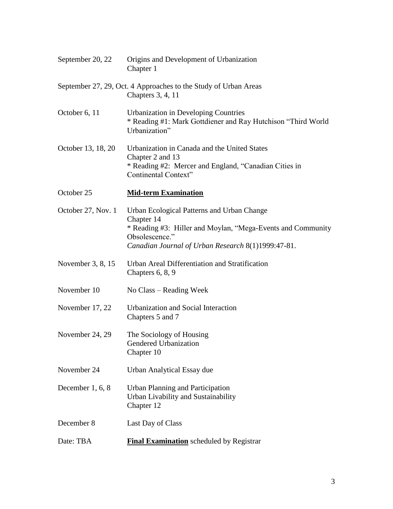| September 20, 22   | Origins and Development of Urbanization<br>Chapter 1                                                                                                                                             |
|--------------------|--------------------------------------------------------------------------------------------------------------------------------------------------------------------------------------------------|
|                    | September 27, 29, Oct. 4 Approaches to the Study of Urban Areas<br>Chapters 3, 4, 11                                                                                                             |
| October 6, 11      | <b>Urbanization in Developing Countries</b><br>* Reading #1: Mark Gottdiener and Ray Hutchison "Third World"<br>Urbanization"                                                                    |
| October 13, 18, 20 | Urbanization in Canada and the United States<br>Chapter 2 and 13<br>* Reading #2: Mercer and England, "Canadian Cities in<br>Continental Context"                                                |
| October 25         | <b>Mid-term Examination</b>                                                                                                                                                                      |
| October 27, Nov. 1 | Urban Ecological Patterns and Urban Change<br>Chapter 14<br>* Reading #3: Hiller and Moylan, "Mega-Events and Community"<br>Obsolescence."<br>Canadian Journal of Urban Research 8(1)1999:47-81. |
| November 3, 8, 15  | Urban Areal Differentiation and Stratification<br>Chapters $6, 8, 9$                                                                                                                             |
| November 10        | No Class – Reading Week                                                                                                                                                                          |
| November 17, 22    | Urbanization and Social Interaction<br>Chapters 5 and 7                                                                                                                                          |
| November 24, 29    | The Sociology of Housing<br>Gendered Urbanization<br>Chapter 10                                                                                                                                  |
| November 24        | Urban Analytical Essay due                                                                                                                                                                       |
| December 1, 6, 8   | <b>Urban Planning and Participation</b><br>Urban Livability and Sustainability<br>Chapter 12                                                                                                     |
| December 8         | Last Day of Class                                                                                                                                                                                |
| Date: TBA          | <b>Final Examination</b> scheduled by Registrar                                                                                                                                                  |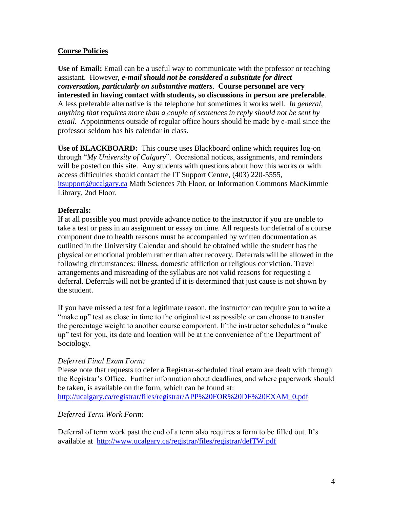### **Course Policies**

**Use of Email:** Email can be a useful way to communicate with the professor or teaching assistant. However, *e-mail should not be considered a substitute for direct conversation, particularly on substantive matters*. **Course personnel are very interested in having contact with students, so discussions in person are preferable**. A less preferable alternative is the telephone but sometimes it works well. *In general, anything that requires more than a couple of sentences in reply should not be sent by email.* Appointments outside of regular office hours should be made by e-mail since the professor seldom has his calendar in class.

**Use of BLACKBOARD:** This course uses Blackboard online which requires log-on through "*My University of Calgary*". Occasional notices, assignments, and reminders will be posted on this site. Any students with questions about how this works or with access difficulties should contact the IT Support Centre, (403) 220-5555, [itsupport@ucalgary.ca](mailto:itsupport@ucalgary.ca) Math Sciences 7th Floor, or Information Commons MacKimmie Library, 2nd Floor.

#### **Deferrals:**

If at all possible you must provide advance notice to the instructor if you are unable to take a test or pass in an assignment or essay on time. All requests for deferral of a course component due to health reasons must be accompanied by written documentation as outlined in the University Calendar and should be obtained while the student has the physical or emotional problem rather than after recovery. Deferrals will be allowed in the following circumstances: illness, domestic affliction or religious conviction. Travel arrangements and misreading of the syllabus are not valid reasons for requesting a deferral. Deferrals will not be granted if it is determined that just cause is not shown by the student.

If you have missed a test for a legitimate reason, the instructor can require you to write a "make up" test as close in time to the original test as possible or can choose to transfer the percentage weight to another course component. If the instructor schedules a "make up" test for you, its date and location will be at the convenience of the Department of Sociology.

#### *Deferred Final Exam Form:*

Please note that requests to defer a Registrar-scheduled final exam are dealt with through the Registrar's Office. Further information about deadlines, and where paperwork should be taken, is available on the form, which can be found at: [http://ucalgary.ca/registrar/files/registrar/APP%20FOR%20DF%20EXAM\\_0.pdf](http://ucalgary.ca/registrar/files/registrar/APP%20FOR%20DF%20EXAM_0.pdf)

#### *Deferred Term Work Form:*

Deferral of term work past the end of a term also requires a form to be filled out. It's available at <http://www.ucalgary.ca/registrar/files/registrar/defTW.pdf>